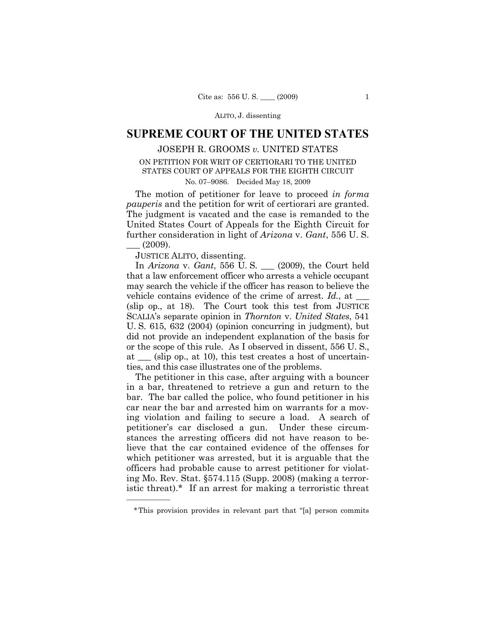ALITO, J. dissenting

## **SUPREME COURT OF THE UNITED STATES**

## JOSEPH R. GROOMS *v.* UNITED STATES ON PETITION FOR WRIT OF CERTIORARI TO THE UNITED STATES COURT OF APPEALS FOR THE EIGHTH CIRCUIT

No. 07–9086. Decided May 18, 2009

The motion of petitioner for leave to proceed *in forma pauperis* and the petition for writ of certiorari are granted. The judgment is vacated and the case is remanded to the United States Court of Appeals for the Eighth Circuit for further consideration in light of *Arizona* v. *Gant*, 556 U. S.  $(2009).$ 

JUSTICE ALITO, dissenting.

——————

In *Arizona* v. *Gant*, 556 U. S. \_\_\_ (2009), the Court held that a law enforcement officer who arrests a vehicle occupant may search the vehicle if the officer has reason to believe the vehicle contains evidence of the crime of arrest. *Id.*, at (slip op., at 18). The Court took this test from JUSTICE SCALIA's separate opinion in *Thornton* v. *United States*, 541 U. S. 615, 632 (2004) (opinion concurring in judgment), but did not provide an independent explanation of the basis for or the scope of this rule. As I observed in dissent, 556 U. S., at \_\_\_ (slip op., at 10), this test creates a host of uncertainties, and this case illustrates one of the problems.

The petitioner in this case, after arguing with a bouncer in a bar, threatened to retrieve a gun and return to the bar. The bar called the police, who found petitioner in his car near the bar and arrested him on warrants for a moving violation and failing to secure a load. A search of petitioner's car disclosed a gun. Under these circumstances the arresting officers did not have reason to believe that the car contained evidence of the offenses for which petitioner was arrested, but it is arguable that the officers had probable cause to arrest petitioner for violating Mo. Rev. Stat. §574.115 (Supp. 2008) (making a terroristic threat).\* If an arrest for making a terroristic threat

<sup>\*</sup>This provision provides in relevant part that "[a] person commits